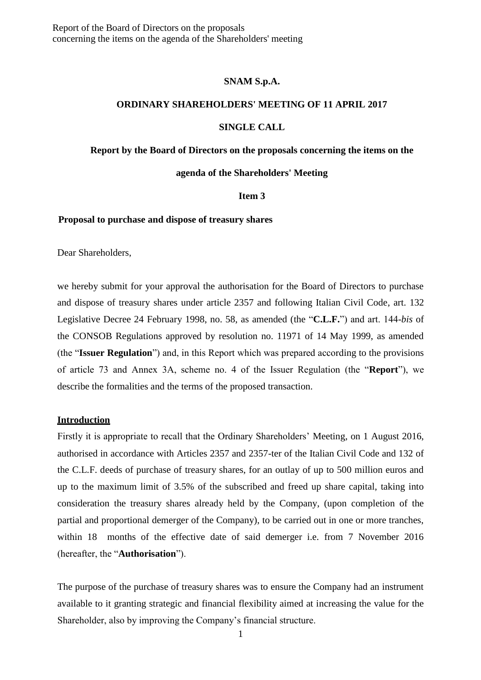### **SNAM S.p.A.**

### **ORDINARY SHAREHOLDERS' MEETING OF 11 APRIL 2017**

### **SINGLE CALL**

### **Report by the Board of Directors on the proposals concerning the items on the**

## **agenda of the Shareholders' Meeting**

### **Item 3**

#### **Proposal to purchase and dispose of treasury shares**

Dear Shareholders,

we hereby submit for your approval the authorisation for the Board of Directors to purchase and dispose of treasury shares under article 2357 and following Italian Civil Code, art. 132 Legislative Decree 24 February 1998, no. 58, as amended (the "**C.L.F.**") and art. 144-*bis* of the CONSOB Regulations approved by resolution no. 11971 of 14 May 1999, as amended (the "**Issuer Regulation**") and, in this Report which was prepared according to the provisions of article 73 and Annex 3A, scheme no. 4 of the Issuer Regulation (the "**Report**"), we describe the formalities and the terms of the proposed transaction.

### **Introduction**

Firstly it is appropriate to recall that the Ordinary Shareholders' Meeting, on 1 August 2016, authorised in accordance with Articles 2357 and 2357-ter of the Italian Civil Code and 132 of the C.L.F. deeds of purchase of treasury shares, for an outlay of up to 500 million euros and up to the maximum limit of 3.5% of the subscribed and freed up share capital, taking into consideration the treasury shares already held by the Company, (upon completion of the partial and proportional demerger of the Company), to be carried out in one or more tranches, within 18 months of the effective date of said demerger i.e. from 7 November 2016 (hereafter, the "**Authorisation**").

The purpose of the purchase of treasury shares was to ensure the Company had an instrument available to it granting strategic and financial flexibility aimed at increasing the value for the Shareholder, also by improving the Company's financial structure.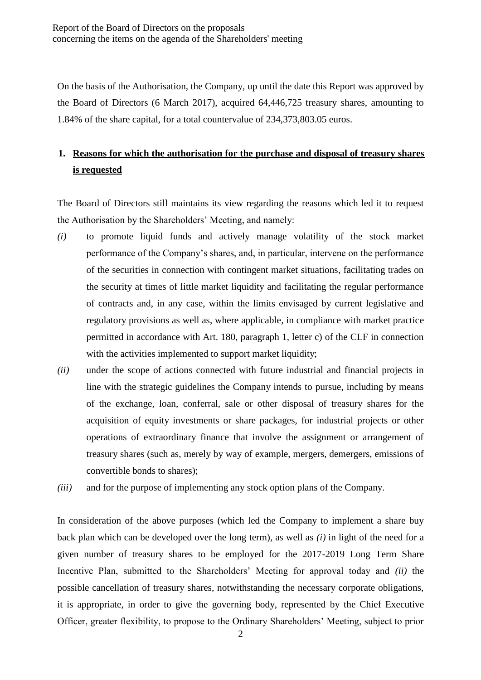On the basis of the Authorisation, the Company, up until the date this Report was approved by the Board of Directors (6 March 2017), acquired 64,446,725 treasury shares, amounting to 1.84% of the share capital, for a total countervalue of 234,373,803.05 euros.

# **1. Reasons for which the authorisation for the purchase and disposal of treasury shares is requested**

The Board of Directors still maintains its view regarding the reasons which led it to request the Authorisation by the Shareholders' Meeting, and namely:

- *(i)* to promote liquid funds and actively manage volatility of the stock market performance of the Company's shares, and, in particular, intervene on the performance of the securities in connection with contingent market situations, facilitating trades on the security at times of little market liquidity and facilitating the regular performance of contracts and, in any case, within the limits envisaged by current legislative and regulatory provisions as well as, where applicable, in compliance with market practice permitted in accordance with Art. 180, paragraph 1, letter c) of the CLF in connection with the activities implemented to support market liquidity;
- *(ii)* under the scope of actions connected with future industrial and financial projects in line with the strategic guidelines the Company intends to pursue, including by means of the exchange, loan, conferral, sale or other disposal of treasury shares for the acquisition of equity investments or share packages, for industrial projects or other operations of extraordinary finance that involve the assignment or arrangement of treasury shares (such as, merely by way of example, mergers, demergers, emissions of convertible bonds to shares);
- *(iii)* and for the purpose of implementing any stock option plans of the Company.

In consideration of the above purposes (which led the Company to implement a share buy back plan which can be developed over the long term), as well as *(i)* in light of the need for a given number of treasury shares to be employed for the 2017-2019 Long Term Share Incentive Plan, submitted to the Shareholders' Meeting for approval today and *(ii)* the possible cancellation of treasury shares, notwithstanding the necessary corporate obligations, it is appropriate, in order to give the governing body, represented by the Chief Executive Officer, greater flexibility, to propose to the Ordinary Shareholders' Meeting, subject to prior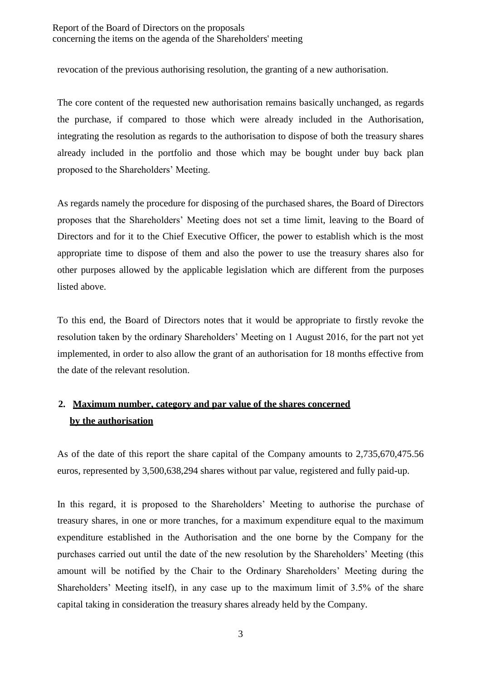revocation of the previous authorising resolution, the granting of a new authorisation.

The core content of the requested new authorisation remains basically unchanged, as regards the purchase, if compared to those which were already included in the Authorisation, integrating the resolution as regards to the authorisation to dispose of both the treasury shares already included in the portfolio and those which may be bought under buy back plan proposed to the Shareholders' Meeting.

As regards namely the procedure for disposing of the purchased shares, the Board of Directors proposes that the Shareholders' Meeting does not set a time limit, leaving to the Board of Directors and for it to the Chief Executive Officer, the power to establish which is the most appropriate time to dispose of them and also the power to use the treasury shares also for other purposes allowed by the applicable legislation which are different from the purposes listed above.

To this end, the Board of Directors notes that it would be appropriate to firstly revoke the resolution taken by the ordinary Shareholders' Meeting on 1 August 2016, for the part not yet implemented, in order to also allow the grant of an authorisation for 18 months effective from the date of the relevant resolution.

# **2. Maximum number, category and par value of the shares concerned by the authorisation**

As of the date of this report the share capital of the Company amounts to 2,735,670,475.56 euros, represented by 3,500,638,294 shares without par value, registered and fully paid-up.

In this regard, it is proposed to the Shareholders' Meeting to authorise the purchase of treasury shares, in one or more tranches, for a maximum expenditure equal to the maximum expenditure established in the Authorisation and the one borne by the Company for the purchases carried out until the date of the new resolution by the Shareholders' Meeting (this amount will be notified by the Chair to the Ordinary Shareholders' Meeting during the Shareholders' Meeting itself), in any case up to the maximum limit of 3.5% of the share capital taking in consideration the treasury shares already held by the Company.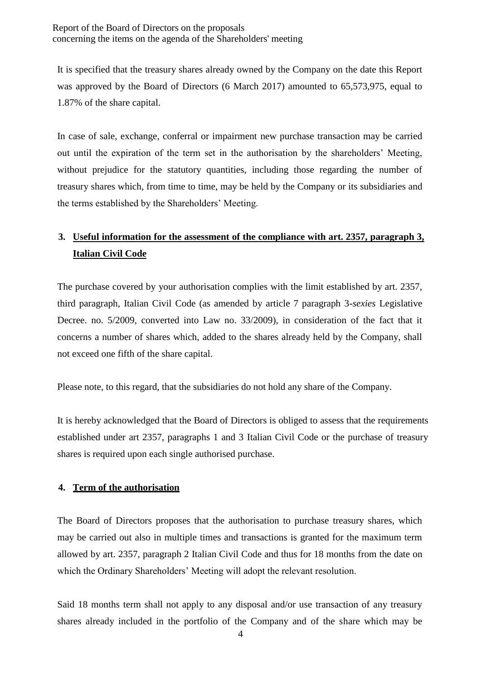It is specified that the treasury shares already owned by the Company on the date this Report was approved by the Board of Directors (6 March 2017) amounted to 65,573,975, equal to 1.87% of the share capital.

In case of sale, exchange, conferral or impairment new purchase transaction may be carried out until the expiration of the term set in the authorisation by the shareholders' Meeting, without prejudice for the statutory quantities, including those regarding the number of treasury shares which, from time to time, may be held by the Company or its subsidiaries and the terms established by the Shareholders' Meeting.

# **3. Useful information for the assessment of the compliance with art. 2357, paragraph 3, Italian Civil Code**

The purchase covered by your authorisation complies with the limit established by art. 2357, third paragraph, Italian Civil Code (as amended by article 7 paragraph 3-*sexies* Legislative Decree. no. 5/2009, converted into Law no. 33/2009), in consideration of the fact that it concerns a number of shares which, added to the shares already held by the Company, shall not exceed one fifth of the share capital.

Please note, to this regard, that the subsidiaries do not hold any share of the Company.

It is hereby acknowledged that the Board of Directors is obliged to assess that the requirements established under art 2357, paragraphs 1 and 3 Italian Civil Code or the purchase of treasury shares is required upon each single authorised purchase.

## **4. Term of the authorisation**

The Board of Directors proposes that the authorisation to purchase treasury shares, which may be carried out also in multiple times and transactions is granted for the maximum term allowed by art. 2357, paragraph 2 Italian Civil Code and thus for 18 months from the date on which the Ordinary Shareholders' Meeting will adopt the relevant resolution.

Said 18 months term shall not apply to any disposal and/or use transaction of any treasury shares already included in the portfolio of the Company and of the share which may be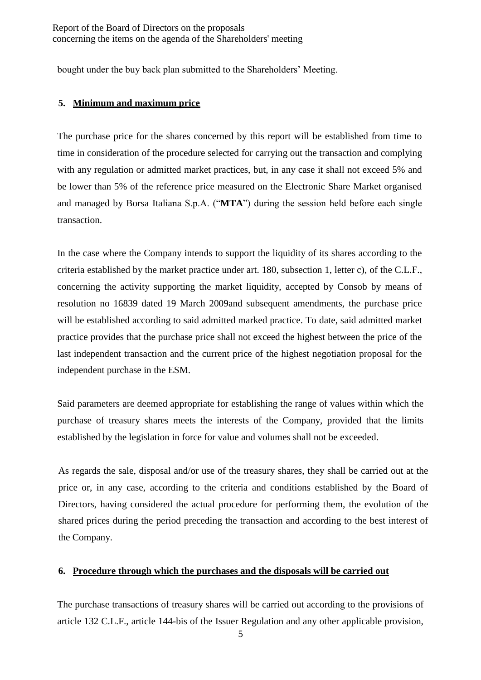bought under the buy back plan submitted to the Shareholders' Meeting.

## **5. Minimum and maximum price**

The purchase price for the shares concerned by this report will be established from time to time in consideration of the procedure selected for carrying out the transaction and complying with any regulation or admitted market practices, but, in any case it shall not exceed 5% and be lower than 5% of the reference price measured on the Electronic Share Market organised and managed by Borsa Italiana S.p.A. ("**MTA**") during the session held before each single transaction.

In the case where the Company intends to support the liquidity of its shares according to the criteria established by the market practice under art. 180, subsection 1, letter c), of the C.L.F., concerning the activity supporting the market liquidity, accepted by Consob by means of resolution no 16839 dated 19 March 2009and subsequent amendments, the purchase price will be established according to said admitted marked practice. To date, said admitted market practice provides that the purchase price shall not exceed the highest between the price of the last independent transaction and the current price of the highest negotiation proposal for the independent purchase in the ESM.

Said parameters are deemed appropriate for establishing the range of values within which the purchase of treasury shares meets the interests of the Company, provided that the limits established by the legislation in force for value and volumes shall not be exceeded.

As regards the sale, disposal and/or use of the treasury shares, they shall be carried out at the price or, in any case, according to the criteria and conditions established by the Board of Directors, having considered the actual procedure for performing them, the evolution of the shared prices during the period preceding the transaction and according to the best interest of the Company.

## **6. Procedure through which the purchases and the disposals will be carried out**

The purchase transactions of treasury shares will be carried out according to the provisions of article 132 C.L.F., article 144-bis of the Issuer Regulation and any other applicable provision,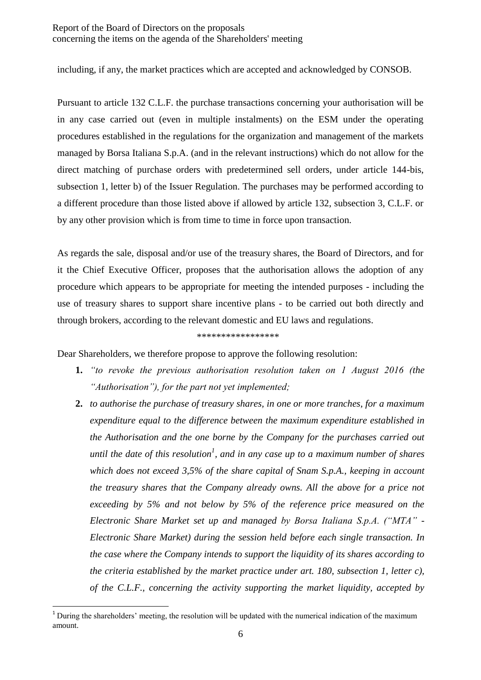including, if any, the market practices which are accepted and acknowledged by CONSOB.

Pursuant to article 132 C.L.F. the purchase transactions concerning your authorisation will be in any case carried out (even in multiple instalments) on the ESM under the operating procedures established in the regulations for the organization and management of the markets managed by Borsa Italiana S.p.A. (and in the relevant instructions) which do not allow for the direct matching of purchase orders with predetermined sell orders, under article 144-bis, subsection 1, letter b) of the Issuer Regulation. The purchases may be performed according to a different procedure than those listed above if allowed by article 132, subsection 3, C.L.F. or by any other provision which is from time to time in force upon transaction.

As regards the sale, disposal and/or use of the treasury shares, the Board of Directors, and for it the Chief Executive Officer, proposes that the authorisation allows the adoption of any procedure which appears to be appropriate for meeting the intended purposes - including the use of treasury shares to support share incentive plans - to be carried out both directly and through brokers, according to the relevant domestic and EU laws and regulations.

#### \*\*\*\*\*\*\*\*\*\*\*\*\*\*\*\*\*

Dear Shareholders, we therefore propose to approve the following resolution:

- **1.** *"to revoke the previous authorisation resolution taken on 1 August 2016 (the "Authorisation"), for the part not yet implemented;*
- **2.** *to authorise the purchase of treasury shares, in one or more tranches, for a maximum expenditure equal to the difference between the maximum expenditure established in the Authorisation and the one borne by the Company for the purchases carried out until the date of this resolution<sup>1</sup> , and in any case up to a maximum number of shares which does not exceed 3,5% of the share capital of Snam S.p.A., keeping in account the treasury shares that the Company already owns. All the above for a price not exceeding by 5% and not below by 5% of the reference price measured on the Electronic Share Market set up and managed by Borsa Italiana S.p.A. ("MTA" - Electronic Share Market) during the session held before each single transaction. In the case where the Company intends to support the liquidity of its shares according to the criteria established by the market practice under art. 180, subsection 1, letter c), of the C.L.F., concerning the activity supporting the market liquidity, accepted by*

 $\overline{a}$ 

 $1$  During the shareholders' meeting, the resolution will be updated with the numerical indication of the maximum amount.